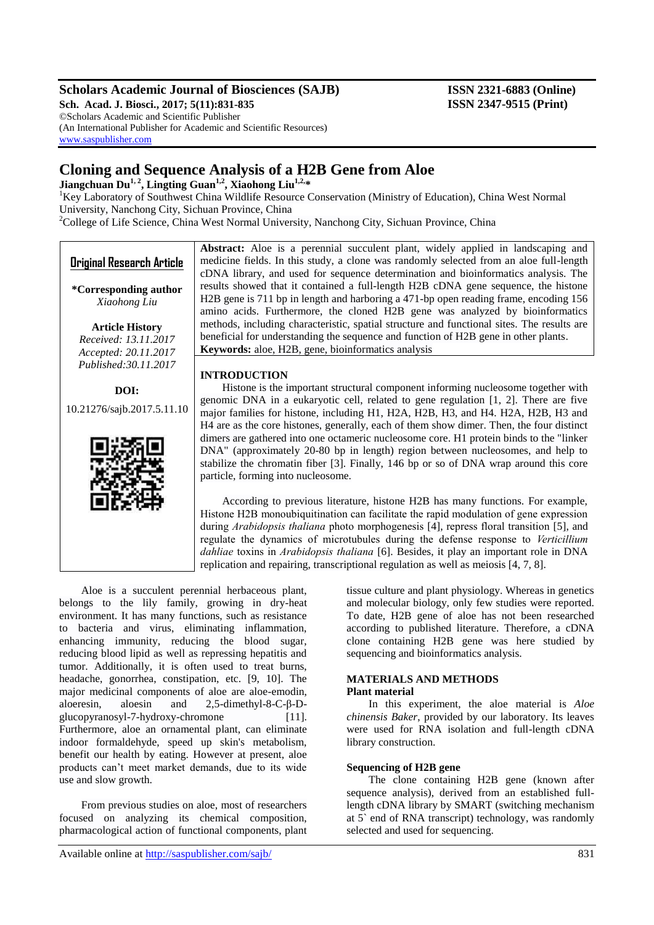## **Scholars Academic Journal of Biosciences (SAJB) ISSN 2321-6883 (Online)**

**Sch. Acad. J. Biosci., 2017; 5(11):831-835 ISSN 2347-9515 (Print)** ©Scholars Academic and Scientific Publisher (An International Publisher for Academic and Scientific Resources) [www.saspublisher.com](http://www.saspublisher.com/)

# **Cloning and Sequence Analysis of a H2B Gene from Aloe**

**Jiangchuan Du1, 2, Lingting Guan1,2, Xiaohong Liu1,2,\***

<sup>1</sup>Key Laboratory of Southwest China Wildlife Resource Conservation (Ministry of Education), China West Normal University, Nanchong City, Sichuan Province, China <sup>2</sup>College of Life Science, China West Normal University, Nanchong City, Sichuan Province, China

| Original Research Article                                              | <b>Abstract:</b> Aloe is a perennial succulent plant, widely applied in landscaping and<br>medicine fields. In this study, a clone was randomly selected from an aloe full-length<br>cDNA library, and used for sequence determination and bioinformatics analysis. The                                                                                                                                                                                                                                                                 |  |  |  |  |
|------------------------------------------------------------------------|-----------------------------------------------------------------------------------------------------------------------------------------------------------------------------------------------------------------------------------------------------------------------------------------------------------------------------------------------------------------------------------------------------------------------------------------------------------------------------------------------------------------------------------------|--|--|--|--|
| *Corresponding author<br>Xiaohong Liu                                  | results showed that it contained a full-length H2B cDNA gene sequence, the histone<br>H2B gene is 711 bp in length and harboring a 471-bp open reading frame, encoding 156<br>amino acids. Furthermore, the cloned H2B gene was analyzed by bioinformatics                                                                                                                                                                                                                                                                              |  |  |  |  |
| <b>Article History</b><br>Received: 13.11.2017<br>Accepted: 20.11.2017 | methods, including characteristic, spatial structure and functional sites. The results are<br>beneficial for understanding the sequence and function of H2B gene in other plants.<br>Keywords: aloe, H2B, gene, bioinformatics analysis                                                                                                                                                                                                                                                                                                 |  |  |  |  |
| Published: 30.11.2017                                                  | <b>INTRODUCTION</b>                                                                                                                                                                                                                                                                                                                                                                                                                                                                                                                     |  |  |  |  |
| DOI:                                                                   | Histone is the important structural component informing nucleosome together with                                                                                                                                                                                                                                                                                                                                                                                                                                                        |  |  |  |  |
| 10.21276/sajb.2017.5.11.10                                             | genomic DNA in a eukaryotic cell, related to gene regulation $[1, 2]$ . There are five<br>major families for histone, including H1, H2A, H2B, H3, and H4. H2A, H2B, H3 and                                                                                                                                                                                                                                                                                                                                                              |  |  |  |  |
|                                                                        | H4 are as the core histones, generally, each of them show dimer. Then, the four distinct<br>dimers are gathered into one octameric nucleosome core. H1 protein binds to the "linker"<br>DNA" (approximately 20-80 bp in length) region between nucleosomes, and help to<br>stabilize the chromatin fiber [3]. Finally, 146 bp or so of DNA wrap around this core<br>particle, forming into nucleosome.                                                                                                                                  |  |  |  |  |
|                                                                        | According to previous literature, histone H2B has many functions. For example,<br>Histone H2B monoubiquitination can facilitate the rapid modulation of gene expression<br>during Arabidopsis thaliana photo morphogenesis [4], repress floral transition [5], and<br>regulate the dynamics of microtubules during the defense response to Verticillium<br>dahliae toxins in Arabidopsis thaliana [6]. Besides, it play an important role in DNA<br>replication and repairing, transcriptional regulation as well as meiosis [4, 7, 8]. |  |  |  |  |

Aloe is a succulent perennial herbaceous plant, belongs to the lily family, growing in dry-heat environment. It has many functions, such as resistance to bacteria and virus, eliminating inflammation, enhancing immunity, reducing the blood sugar, reducing blood lipid as well as repressing hepatitis and tumor. Additionally, it is often used to treat burns, headache, gonorrhea, constipation, etc. [9, 10]. The major medicinal components of aloe are aloe-emodin,<br>aloeresin, aloesin and 2,5-dimethyl-8-C- $\beta$ -Daloesin and  $2.5$ -dimethyl-8-C-β-Dglucopyranosyl-7-hydroxy-chromone [11]. Furthermore, aloe an ornamental plant, can eliminate indoor formaldehyde, speed up skin's metabolism, benefit our health by eating. However at present, aloe products can't meet market demands, due to its wide use and slow growth.

From previous studies on aloe, most of researchers focused on analyzing its chemical composition, pharmacological action of functional components, plant

and molecular biology, only few studies were reported. To date, H2B gene of aloe has not been researched according to published literature. Therefore, a cDNA clone containing H2B gene was here studied by sequencing and bioinformatics analysis.

tissue culture and plant physiology. Whereas in genetics

### **MATERIALS AND METHODS Plant material**

In this experiment, the aloe material is *Aloe chinensis Baker*, provided by our laboratory. Its leaves were used for RNA isolation and full-length cDNA library construction.

#### **Sequencing of H2B gene**

The clone containing H2B gene (known after sequence analysis), derived from an established fulllength cDNA library by SMART (switching mechanism at 5` end of RNA transcript) technology, was randomly selected and used for sequencing.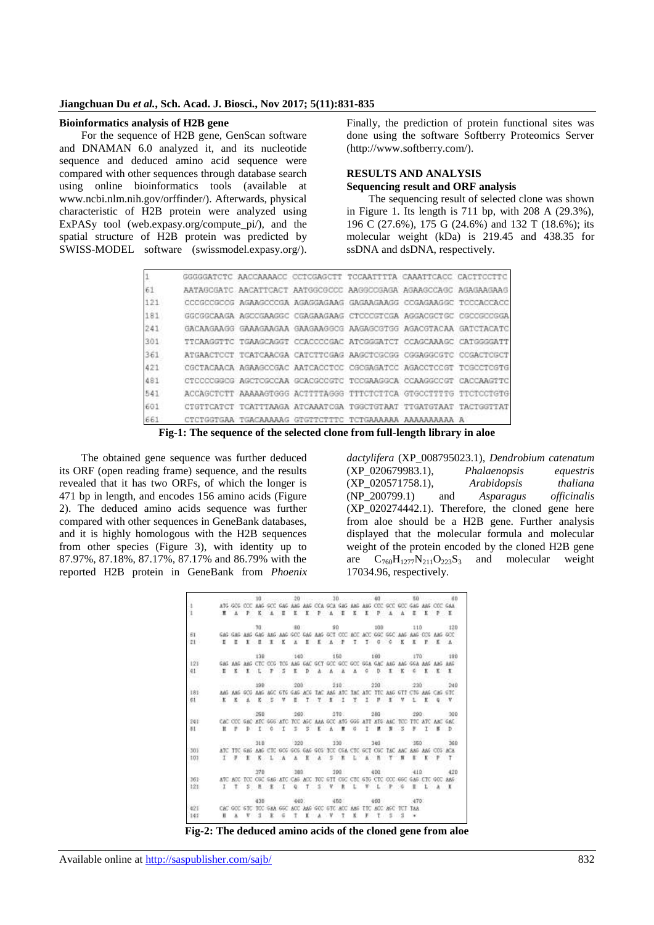#### **Jiangchuan Du** *et al.***, Sch. Acad. J. Biosci., Nov 2017; 5(11):831-835**

#### **Bioinformatics analysis of H2B gene**

For the sequence of H2B gene, GenScan software and DNAMAN 6.0 analyzed it, and its nucleotide sequence and deduced amino acid sequence were compared with other sequences through database search using online bioinformatics tools (available at www.ncbi.nlm.nih.gov/orffinder/). Afterwards, physical characteristic of H2B protein were analyzed using ExPASy tool (web.expasy.org/compute pi/), and the spatial structure of H2B protein was predicted by SWISS-MODEL software (swissmodel.expasy.org/).

Finally, the prediction of protein functional sites was done using the software Softberry Proteomics Server (http://www.softberry.com/).

#### **RESULTS AND ANALYSIS Sequencing result and ORF analysis**

The sequencing result of selected clone was shown in Figure 1. Its length is 711 bp, with 208 A (29.3%), 196 C (27.6%), 175 G (24.6%) and 132 T (18.6%); its molecular weight (kDa) is 219.45 and 438.35 for ssDNA and dsDNA, respectively.

|     | GGGGGATCTC AACCAAAACC CCTCGAGCTT TCCAATTTTA CAAATTCACC CACTTCCTTC |  |  |
|-----|-------------------------------------------------------------------|--|--|
| 61  | AATAGCGATC AACATTCACT AATGGCGCCC AAGGCCGAGA AGAAGCCAGC AGAGAAGAAG |  |  |
| 121 | CCCGCCGCCG AGAAGCCCGA AGAGGAGAAG GAGAAGAAGG CCGAGAAGGC TCCCACCACC |  |  |
| 181 | GGCGGCAAGA AGCCGAAGGC CGAGAAGAAG CTCCCGTCGA AGGACGCTGC CGCCGCCGGE |  |  |
| 241 | GACAAGAAGG GAAAGAAGAA GAAGAAGGCG AAGAGCGTGG AGACGTACAA GATCTACATO |  |  |
| 301 | TTCAAGGTTC TGAAGCAGGT CCACCCCGAC ATCGGGATCT CCAGCAAAGC CATGGGGATT |  |  |
| 361 | ATGAACTCCT TCATCAACGA CATCTTCGAG AAGCTCGCGG CGGAGGCGTC CCGACTCGCT |  |  |
| 421 | CGCTACAACA AGAAGCCGAC AATCACCTCC CGCGAGATCC AGACCTCCGT TCGCCTCGT6 |  |  |
| 481 | CTECCCGGEG AGCTCGCCAA GCACGCCGTC TOCGAAGGCA OCAAGGCCGT CACCAAGTTO |  |  |
| 541 | ACCAGCTCTT AAAAAGTGGG ACTTTTAGGG TTTCTCTTCA GTGCCTTTTG TTCTCCTGTG |  |  |
| 601 | CTGTTCATCT TCATTTAAGA ATCAAATCGA TGGCTGTAAT TTGATGTAAT TACTGGTTAT |  |  |
| 661 |                                                                   |  |  |

**Fig-1: The sequence of the selected clone from full-length library in aloe**

The obtained gene sequence was further deduced its ORF (open reading frame) sequence, and the results revealed that it has two ORFs, of which the longer is 471 bp in length, and encodes 156 amino acids (Figure 2). The deduced amino acids sequence was further compared with other sequences in GeneBank databases, and it is highly homologous with the H2B sequences from other species (Figure 3), with identity up to 87.97%, 87.18%, 87.17%, 87.17% and 86.79% with the reported H2B protein in GeneBank from *Phoenix* 

*dactylifera* (XP\_008795023.1), *Dendrobium catenatum* (XP\_020679983.1), *Phalaenopsis equestris*  (XP\_020571758.1), *Arabidopsis thaliana* (NP\_200799.1) and *Asparagus officinalis*   $(XP_020274442.1)$ . Therefore, the cloned gene here from aloe should be a H2B gene. Further analysis displayed that the molecular formula and molecular weight of the protein encoded by the cloned H2B gene are  $C_{760}H_{1277}N_{211}O_{223}S_3$  and molecular weight 17034.96, respectively.

 $30$ id 0 ATG GOS COC ANS GOC GAS ANS ANG COA GOA GAS ANS ANG COC GOC GOS GAS ANG COC GAS  $\mathbf{K}$  $A$   $B$ ¥  $\mathbf{r}$  $\mathbf{P}$  $\alpha$  $\begin{array}{ccccccccc} \text{GAG} & \text{AdG} & \text{AdG} & \text{GGC} & \text{GAG} & \text{AdG} & \text{GCT} \\ \text{B} & \text{B} & \text{B} & \text{C} & \text{A} & \text{B} & \text{C} & \text{A} \\ \end{array}$  $\frac{1}{2}$  and  $\frac{1}{2}$  and  $\frac{1}{2}$  and  $\frac{1}{2}$  and  $\frac{1}{2}$  and  $\frac{1}{2}$  and  $\frac{1}{2}$  and  $\frac{1}{2}$  and  $\frac{1}{2}$  and  $\frac{1}{2}$  and  $\frac{1}{2}$  and  $\frac{1}{2}$  and  $\frac{1}{2}$  and  $\frac{1}{2}$  and  $\frac{1}{2}$  and  $\frac{1}{2}$  a GCC AAG A  $\overline{21}$ x r × 亩 tien AND AND CTC COD TOO AND DAC GCT DCC GCC GCC OLA GAC  $121$ **AKG** idi.  $\mathbf{I}$  $\mathbf{L}$  $\mathbb{R}$ 活  $\mathbf{K}$  $\mathbf{p}$  $\lambda$ b  $\vec{a}$  $\mathbf{x}$  $\lambda$  $\lambda$  $\lambda$  $\epsilon$ × x x x  $^{210}$  $200$  $230$ 240 18) ANS ANS GOS ANS NGC GTG GAS ACG TAC ANS ATC TAC ATC AND OTT CTD AND CAD OTC ă  $\dot{r}$ Î. 839 tor. 241 ATC 666 ATC TCC AGC AAA 6CC ATG 666 ATT ATG ×1 <sup>D</sup>  $\mathbf{I}$ - 6 I  $\overline{5}$ × ×  $\overline{D}$ A 30 ANG CTC GCS 686  $600$ ica AAG AAG  $101$  $\kappa$ 1a èh arc 420 361<br>121 OCC AND  $450$ änä  $\frac{1}{2}$ téi

**Fig-2: The deduced amino acids of the cloned gene from aloe**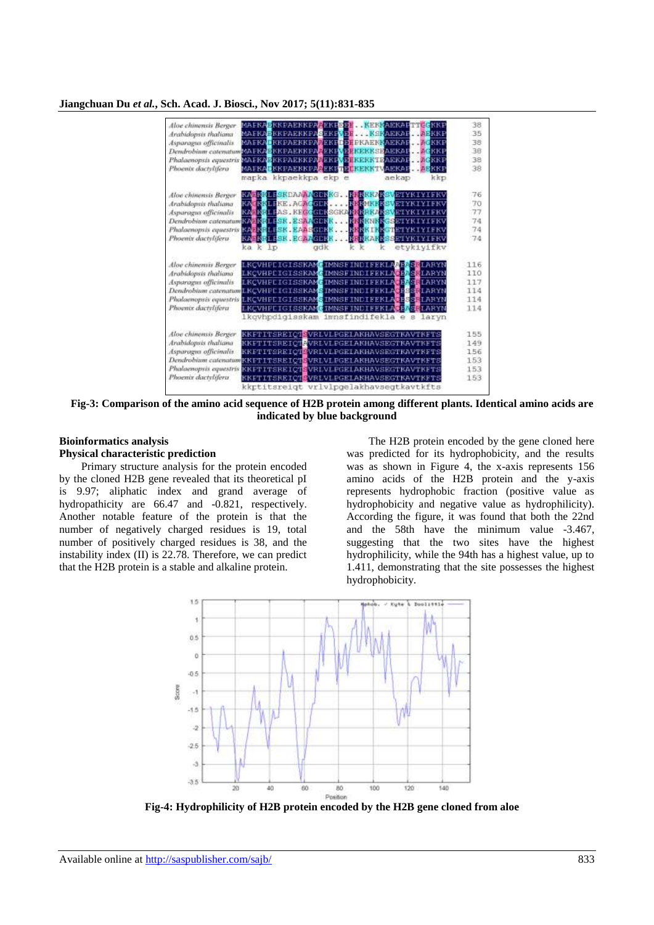



**Fig-3: Comparison of the amino acid sequence of H2B protein among different plants. Identical amino acids are indicated by blue background**

# **Bioinformatics analysis Physical characteristic prediction**

Primary structure analysis for the protein encoded by the cloned H2B gene revealed that its theoretical pI is 9.97; aliphatic index and grand average of hydropathicity are 66.47 and -0.821, respectively. Another notable feature of the protein is that the number of negatively charged residues is 19, total number of positively charged residues is 38, and the instability index (II) is 22.78. Therefore, we can predict that the H2B protein is a stable and alkaline protein.

The H2B protein encoded by the gene cloned here was predicted for its hydrophobicity, and the results was as shown in Figure 4, the x-axis represents 156 amino acids of the H2B protein and the y-axis represents hydrophobic fraction (positive value as hydrophobicity and negative value as hydrophilicity). According the figure, it was found that both the 22nd and the 58th have the minimum value -3.467, suggesting that the two sites have the highest hydrophilicity, while the 94th has a highest value, up to 1.411, demonstrating that the site possesses the highest hydrophobicity.



**Fig-4: Hydrophilicity of H2B protein encoded by the H2B gene cloned from aloe**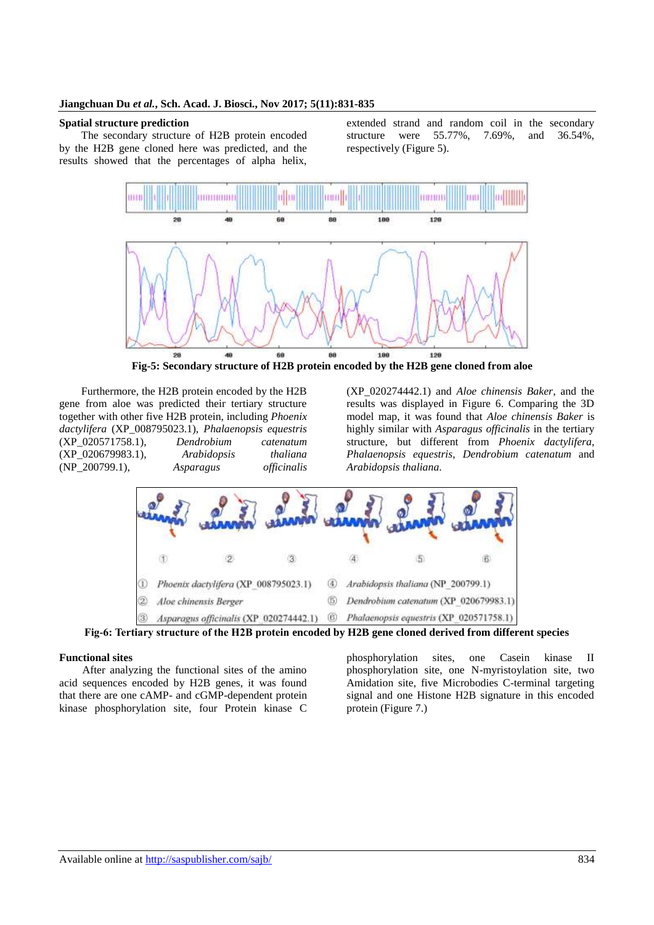#### **Spatial structure prediction**

The secondary structure of H2B protein encoded by the H2B gene cloned here was predicted, and the results showed that the percentages of alpha helix,

extended strand and random coil in the secondary structure were 55.77%, 7.69%, and 36.54%, respectively (Figure 5).



**Fig-5: Secondary structure of H2B protein encoded by the H2B gene cloned from aloe**

Furthermore, the H2B protein encoded by the H2B gene from aloe was predicted their tertiary structure together with other five H2B protein, including *Phoenix dactylifera* (XP\_008795023.1), *Phalaenopsis equestris* (XP\_020571758.1), (XP\_020679983.1), *Arabidopsis thaliana* (NP\_200799.1), *Asparagus officinalis*

(XP\_020274442.1) and *Aloe chinensis Baker*, and the results was displayed in Figure 6. Comparing the 3D model map, it was found that *Aloe chinensis Baker* is highly similar with *Asparagus officinalis* in the tertiary structure, but different from *Phoenix dactylifera*, *Phalaenopsis equestris*, *Dendrobium catenatum* and *Arabidopsis thaliana*.



**Fig-6: Tertiary structure of the H2B protein encoded by H2B gene cloned derived from different species**

#### **Functional sites**

After analyzing the functional sites of the amino acid sequences encoded by H2B genes, it was found that there are one cAMP- and cGMP-dependent protein kinase phosphorylation site, four Protein kinase C

phosphorylation sites, one Casein kinase II phosphorylation site, one N-myristoylation site, two Amidation site, five Microbodies C-terminal targeting signal and one Histone H2B signature in this encoded protein (Figure 7.)